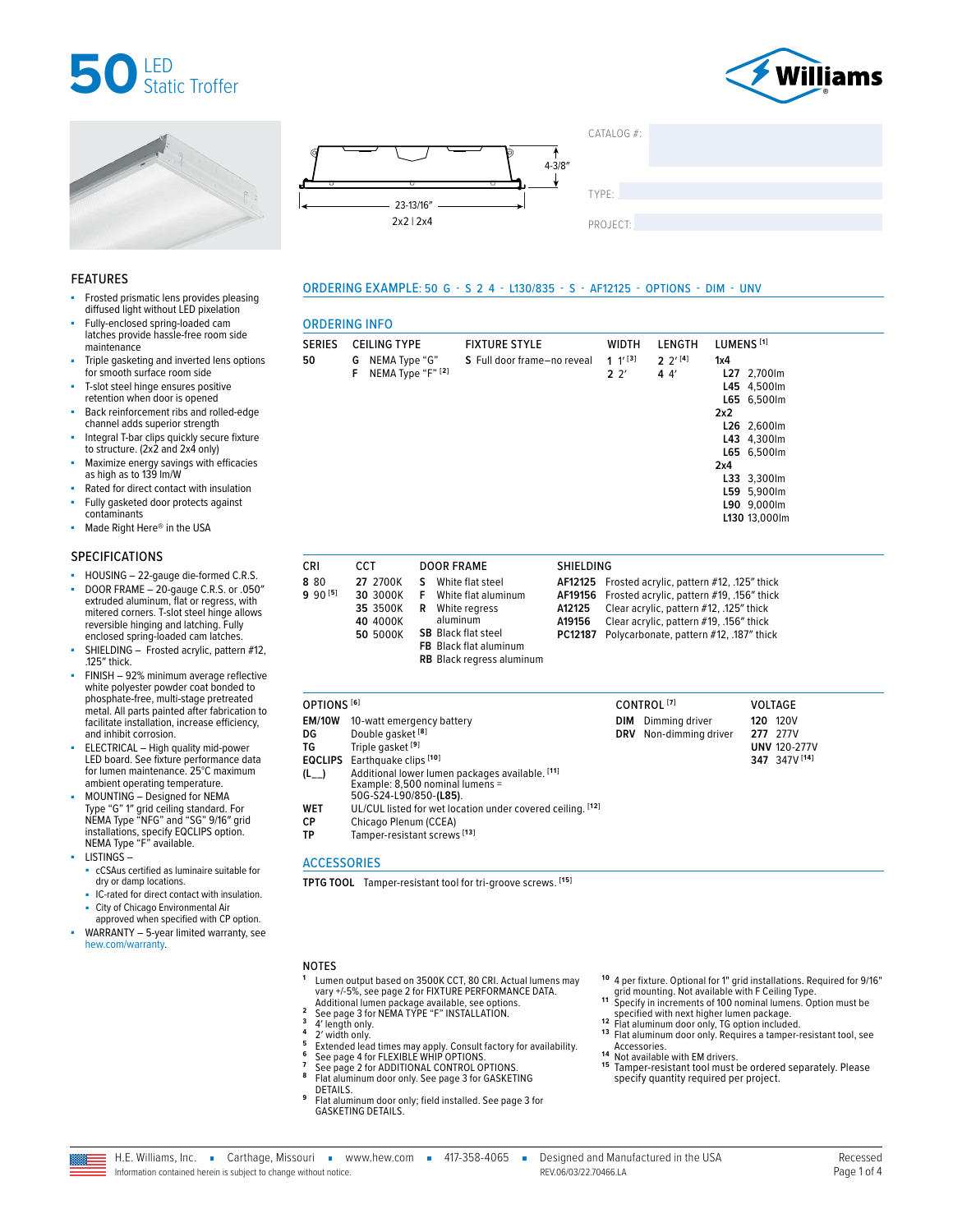







 $CATAI OG #<sup>2</sup>$ TYPE: ����������������������������������������������������

PROJECT:

**2** 2′

ORDERING EXAMPLE: 50 G - S 2 4 - L130/835 - S - AF12125 - OPTIONS - DIM - UNV

SERIES CEILING TYPE FIXTURE STYLE WIDTH LENGTH LUMENS **[1]**

**S** Full door frame–no reveal **1** 1′ **[3]**

### FEATURES

- Frosted prismatic lens provides pleasing diffused light without LED pixelation
- Fully-enclosed spring-loaded cam latches provide hassle-free room side maintenance
- Triple gasketing and inverted lens options for smooth surface room side
- T-slot steel hinge ensures positive retention when door is opened
- Back reinforcement ribs and rolled-edge channel adds superior strength
- Integral T-bar clips quickly secure fixture to structure. (2x2 and 2x4 only)
- Maximize energy savings with efficacies as high as to 139 lm/W
- Rated for direct contact with insulation
- Fully gasketed door protects against contaminants
- Made Right Here® in the USA

### SPECIFICATIONS

- HOUSING 22-gauge die-formed C.R.S.
- DOOR FRAME 20-gauge C.R.S. or .050" extruded aluminum, flat or regress, with mitered corners. T-slot steel hinge allows reversible hinging and latching. Fully enclosed spring-loaded cam latches.
- SHIELDING Frosted acrylic, pattern #12, .125″ thick.
- FINISH 92% minimum average reflective white polyester powder coat bonded to phosphate-free, multi-stage pretreated metal. All parts painted after fabrication to facilitate installation, increase efficiency, and inhibit corrosion.
- ELECTRICAL High quality mid-power LED board. See fixture performance data for lumen maintenance. 25°C maximum ambient operating temperature.
- MOUNTING Designed for NEMA Type "G" 1″ grid ceiling standard. For NEMA Type "NFG" and "SG" 9/16″ grid installations, specify EQCLIPS option. NEMA Type "F" available.
- LISTINGS cCSAus certified as luminaire suitable for dry or damp locations.
- IC-rated for direct contact with insulation. City of Chicago Environmental Air
- approved when specified with CP option. WARRANTY - 5-year limited warranty, see
- [hew.com/warranty.](https://www.hew.com/resources/warranty-and-terms)

| CRI                 | CCT      | <b>DOOR FRAME</b>        | <b>SHIELDING</b> |     |
|---------------------|----------|--------------------------|------------------|-----|
|                     |          |                          |                  |     |
| 880                 | 27 2700K | White flat steel<br>s    | AF12125          | Fro |
| 9 90 <sup>[5]</sup> | 30 3000K | F<br>White flat aluminum | AF19156          | Fro |
|                     | 35 3500K | White regress<br>R       | A12125           | Cle |
|                     | 40 4000K | aluminum                 | A19156           | Cle |
|                     |          |                          |                  |     |

**SB** Black flat steel **FB** Black flat aluminum **RB** Black regress aluminum

**AF12125** Frosted acrylic, pattern #12, .125″ thick **AF19156** Frosted acrylic, pattern #19, .156″ thick **A12125** Clear acrylic, pattern #12, .125″ thick **A19156** Clear acrylic, pattern #19, .156″ thick **PC12187** Polycarbonate, pattern #12, .187″ thick

**2** 2′ **[4] 4** 4′

**1x4**

**2x2**

**2x4**

**L27** 2,700lm **L45** 4,500lm **L65** 6,500lm

**L26** 2,600lm **L43** 4,300lm **L65** 6,500lm

**L33** 3,300lm **L59** 5,900lm **L90** 9,000lm **L130** 13,000lm

| OPTIONS <sup>[6]</sup>    |                                                                                                                                   |     | CONTROL <sup>[7]</sup>                   | <b>VOLTAGE</b>                                                      |  |
|---------------------------|-----------------------------------------------------------------------------------------------------------------------------------|-----|------------------------------------------|---------------------------------------------------------------------|--|
| <b>EM/10W</b><br>DG<br>TG | 10-watt emergency battery<br>Double gasket <sup>[8]</sup><br>Triple gasket <sup>[9]</sup><br><b>EQCLIPS</b> Earthquake clips [10] | DIM | Dimming driver<br>DRV Non-dimming driver | <b>120 120V</b><br>277 277V<br><b>UNV 120-277V</b><br>347 347V [14] |  |
| $(L_{-})$                 | Additional lower lumen packages available. [11]<br>Example: 8,500 nominal lumens =<br>50G-\$24-L90/850-(L85).                     |     |                                          |                                                                     |  |
| <b>WET</b><br>СP<br>ТP    | UL/CUL listed for wet location under covered ceiling. [12]<br>Chicago Plenum (CCEA)<br>Tamper-resistant screws [13]               |     |                                          |                                                                     |  |

**50** 5000K

# **ACCESSORIES**

ORDERING INFO

**50 G** NEMA Type "G"<br>**F** NEMA Type "F"

**F** NEMA Type "F" **[2]**

**TPTG TOOL** Tamper-resistant tool for tri-groove screws. **[15]**

# NOTES

- **<sup>1</sup>** Lumen output based on 3500K CCT, 80 CRI. Actual lumens may vary +/-5%, [see page 2 for FIXTURE PERFORMANCE DATA.](#page-1-0)
- -
- 
- 
- 
- 2 [See page 3 for NEMA TYPE "F" INSTALLATION.](#page-2-0)<br>
3 4' length only.<br>
4 " L' width only.<br>
5 Extended lead times may apply. Consult factory for availability.<br>
5 Extended lead times may apply. Consult factory for availability.<br>
6
- Flat aluminum door only; field installed. See page 3 for [GASKETING DETAILS.](#page-2-1)
- 
- **1 0** 4 per fixture. Optional for 1" grid installations. Required for 9/16" grid mounting. Not available with F Ceiling Type. **1 1** Specify in increments of 100 nominal lumens. Option must be
- 
- specified with next higher lumen package.<br> **12** Flat aluminum door only, TG option included.<br> **13** Flat aluminum door only, TG option included.<br> **13** Flat aluminum door only. Requires a tamper-resistant tool, see<br> **ACCESSO**
- 
- <sup>14</sup> Not available with EM drivers.<br><sup>15</sup> Tamper-resistant tool must be ordered separately. Please specify quantity required per project.

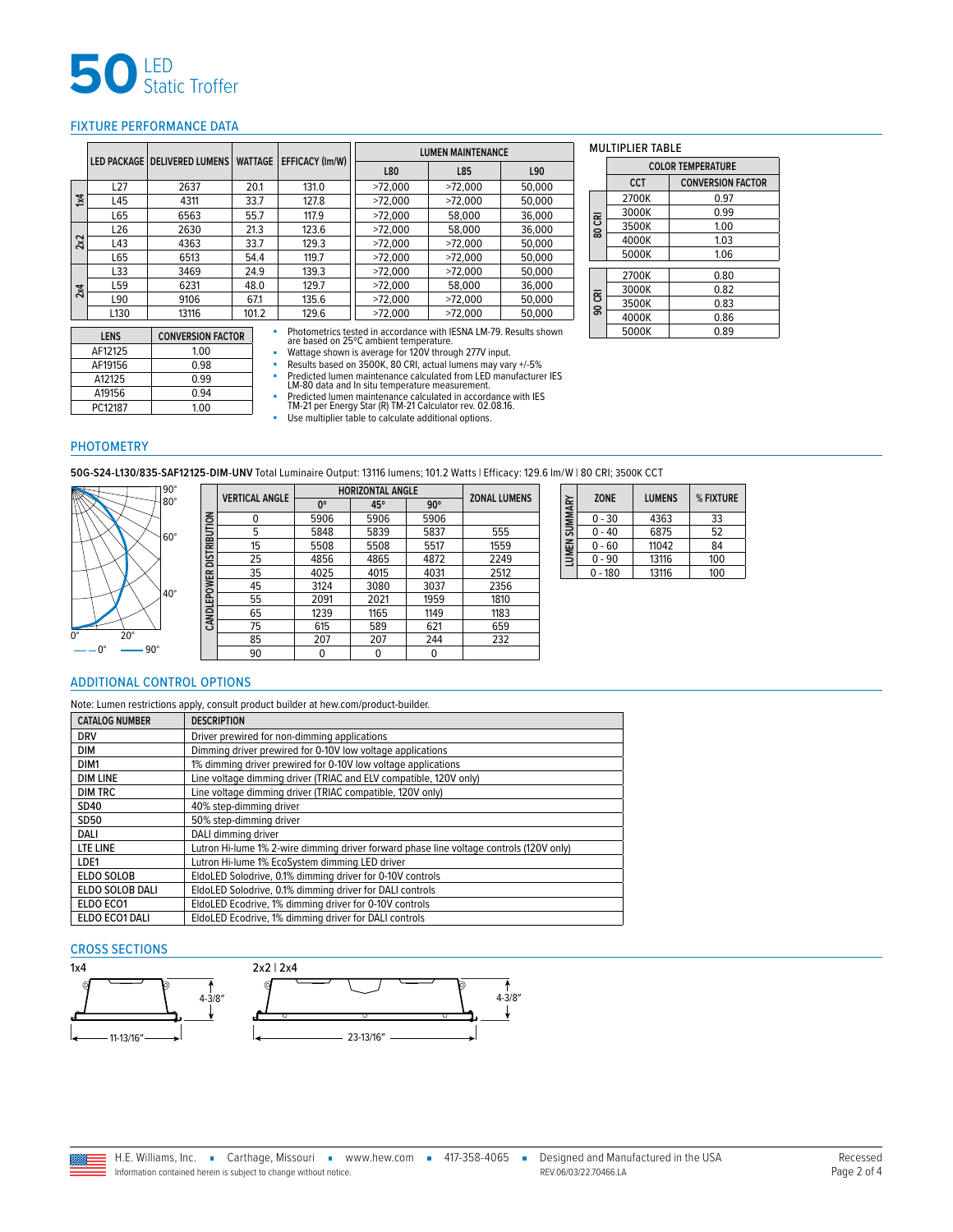

# <span id="page-1-0"></span>FIXTURE PERFORMANCE DATA

|             |                  |                                |                |                        |                                                                   | <b>LUMEN MAINTENANCE</b> |        |                                     | <b>MULTIPLIER TABLE</b> |                          |
|-------------|------------------|--------------------------------|----------------|------------------------|-------------------------------------------------------------------|--------------------------|--------|-------------------------------------|-------------------------|--------------------------|
|             |                  | LED PACKAGE   DELIVERED LUMENS | <b>WATTAGE</b> | <b>EFFICACY (Im/W)</b> | L80                                                               | L85                      | L90    |                                     |                         | <b>COLOR TEMPERATURE</b> |
|             | L <sub>27</sub>  | 2637                           | 20.1           | 131.0                  | >72.000                                                           | >72.000                  | 50.000 |                                     | <b>CCT</b>              | <b>CONVERSION</b>        |
| $1\times 4$ | L45              | 4311                           | 33.7           | 127.8                  | >72.000                                                           | >72.000                  | 50.000 |                                     | 2700K                   | 0.97                     |
|             | L65              | 6563                           | 55.7           | 117.9                  | >72.000                                                           | 58,000                   | 36,000 | 귵                                   | 3000K                   | 0.99                     |
|             | L <sub>26</sub>  | 2630                           | 21.3           | 123.6                  | >72.000                                                           | 58,000                   | 36,000 | ပ<br>ន                              | 3500K                   | 1.00                     |
| 22          | L43              | 4363                           | 33.7           | 129.3                  | >72.000                                                           | >72.000                  | 50.000 |                                     | 4000K                   | 1.03                     |
|             | L65              | 6513                           | 54.4           | 119.7                  | >72.000                                                           | >72.000                  | 50.000 |                                     | 5000K                   | 1.06                     |
|             | L33              | 3469                           | 24.9           | 139.3                  | >72.000                                                           | >72.000                  | 50.000 |                                     | 2700K                   | 0.80                     |
| 2x4         | L59              | 6231                           | 48.0           | 129.7                  | >72.000                                                           | 58,000                   | 36,000 |                                     | 3000K                   | 0.82                     |
|             | L90              | 9106                           | 67.1           | 135.6                  | >72.000                                                           | >72.000                  | 50.000 | $\overline{\overline{\varepsilon}}$ | 3500K                   | 0.83                     |
|             | L <sub>130</sub> | 13116                          | 101.2          | 129.6                  | >72.000                                                           | >72.000                  | 50.000 | $\mathsf{S}$                        | 4000K                   | 0.86                     |
|             | <b>LENS</b>      | <b>CONVERSION FACTOR</b>       |                |                        | Photometrics tested in accordance with IESNA LM-79. Results shown |                          |        |                                     | 5000K                   | 0.89                     |
|             | A E1212E         | 100                            |                |                        | are based on 25°C ambient temperature.                            |                          |        |                                     |                         |                          |

|        |        | <b>COLOR TEMPERATURE</b> |                          |  |  |  |
|--------|--------|--------------------------|--------------------------|--|--|--|
|        |        | CCT                      | <b>CONVERSION FACTOR</b> |  |  |  |
|        |        | 2700K                    | 0.97                     |  |  |  |
|        |        | 3000K                    | 0.99                     |  |  |  |
|        | 80 CRI | 3500K                    | 1.00                     |  |  |  |
|        |        | 4000K                    | 1.03                     |  |  |  |
|        |        | 5000K                    | 1.06                     |  |  |  |
|        |        |                          |                          |  |  |  |
|        |        | 2700K                    | 0.80                     |  |  |  |
|        |        | 3000K                    | 0.82                     |  |  |  |
| 90 CRI | 3500K  | 0.83                     |                          |  |  |  |
|        |        | 4000K                    | 0.86                     |  |  |  |
|        |        | ENNAV                    | റ റെ                     |  |  |  |

| LENS    | <b>CONVERSION FACTOR</b> |
|---------|--------------------------|
| AF12125 | 1.00                     |
| AF19156 | 0.98                     |
| A12125  | 0.99                     |
| A19156  | በ 94                     |
| PC12187 | 1.00                     |

are based on 25°C ambient temperature.<br>• Wattage shown is average for 120V through 277V input.<br>• Results based on 3500K, 80 CRI, actual lumens may vary +/-5%<br>• Predicted lumen maintenance calculated from LED manufacturer I

■ Predicted lumen maintenance calculated in accordance with IES TM-21 per Energy Star (R) TM-21 Calculator rev. 02.08.16.

■ Use multiplier table to calculate additional options.

# PHOTOMETRY

**50G-S24-L130/835-SAF12125-DIM-UNV** Total Luminaire Output: 13116 lumens; 101.2 Watts | Efficacy: 129.6 lm/W | 80 CRI; 3500K CCT



| <b>VERTICAL ANGLE</b> | <b>HORIZONTAL ANGLE</b> | <b>ZONAL LUMENS</b> |            |      |
|-----------------------|-------------------------|---------------------|------------|------|
|                       | 0°                      | 45°                 | $90^\circ$ |      |
| 0                     | 5906                    | 5906                | 5906       |      |
| 5                     | 5848                    | 5839                | 5837       | 555  |
| 15                    | 5508                    | 5508                | 5517       | 1559 |
| 25                    | 4856                    | 4865                | 4872       | 2249 |
| 35                    | 4025                    | 4015                | 4031       | 2512 |
| 45                    | 3124                    | 3080                | 3037       | 2356 |
| 55                    | 2091                    | 2021                | 1959       | 1810 |
| 65                    | 1239                    | 1165                | 1149       | 1183 |
| 75                    | 615                     | 589                 | 621        | 659  |
| 85                    | 207                     | 207                 | 244        | 232  |
| 90                    | 0                       |                     |            |      |

| LUMEN SUMMARY | <b>ZONE</b> | <b>LUMENS</b> | % FIXTURE |
|---------------|-------------|---------------|-----------|
|               | $0 - 30$    | 4363          | 33        |
|               | $0 - 40$    | 6875          | 52        |
|               | $0 - 60$    | 11042         | 84        |
|               | $0 - 90$    | 13116         | 100       |
|               | $-180$      | 13116         | 100       |

### <span id="page-1-1"></span>ADDITIONAL CONTROL OPTIONS

Note: Lumen restrictions apply, consult product builder at hew.com/product-builder.

**CANDLEPOWER DISTRIBUTION**

CANDLEPOWER DISTRIBUTION

| <b>CATALOG NUMBER</b> | <b>DESCRIPTION</b>                                                                      |
|-----------------------|-----------------------------------------------------------------------------------------|
| <b>DRV</b>            | Driver prewired for non-dimming applications                                            |
| DIM                   | Dimming driver prewired for 0-10V low voltage applications                              |
| DIM <sub>1</sub>      | 1% dimming driver prewired for 0-10V low voltage applications                           |
| <b>DIM LINE</b>       | Line voltage dimming driver (TRIAC and ELV compatible, 120V only)                       |
| <b>DIM TRC</b>        | Line voltage dimming driver (TRIAC compatible, 120V only)                               |
| SD40                  | 40% step-dimming driver                                                                 |
| SD50                  | 50% step-dimming driver                                                                 |
| DALI                  | DALI dimming driver                                                                     |
| LTE LINE              | Lutron Hi-lume 1% 2-wire dimming driver forward phase line voltage controls (120V only) |
| LDE1                  | Lutron Hi-lume 1% EcoSystem dimming LED driver                                          |
| <b>ELDO SOLOB</b>     | EldoLED Solodrive, 0.1% dimming driver for 0-10V controls                               |
| ELDO SOLOB DALI       | EldoLED Solodrive, 0.1% dimming driver for DALI controls                                |
| ELDO ECO1             | EldoLED Ecodrive, 1% dimming driver for 0-10V controls                                  |
| ELDO ECO1 DALI        | EldoLED Ecodrive, 1% dimming driver for DALI controls                                   |

### CROSS SECTIONS



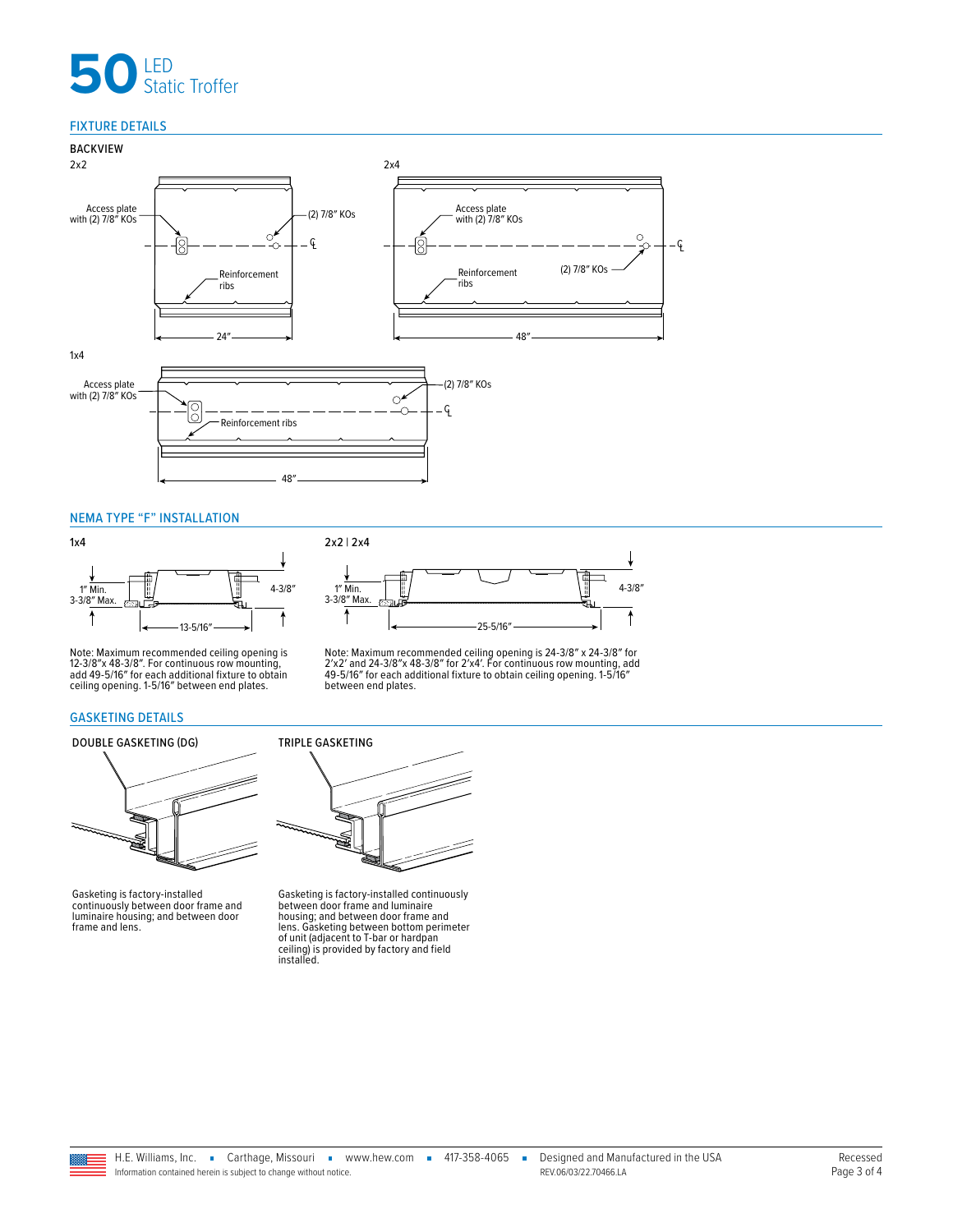# **50** LED<br>Static Troffer

# FIXTURE DETAILS



### <span id="page-2-0"></span>NEMA TYPE "F" INSTALLATION



Note: Maximum recommended ceiling opening is 12-3/8″x 48-3/8″. For continuous row mounting, add 49-5/16″ for each additional fixture to obtain ceiling opening. 1-5/16″ between end plates.

### <span id="page-2-1"></span>GASKETING DETAILS

# DOUBLE GASKETING (DG) TRIPLE GASKETING



Gasketing is factory-installed continuously between door frame and luminaire housing; and between door frame and lens.



Note: Maximum recommended ceiling opening is 24-3/8″ x 24-3/8″ for<br>2′x2′ and 24-3/8″ x 48-3/8″ for 2′x4′. For continuous row mounting, add<br>49-5/16″ for each additional fixture to obtain ceiling opening. 1-5/16″<br>between end



Gasketing is factory-installed continuously<br>between door frame and luminaire<br>housing; and between door frame and<br>lens. Gasketing between bottom perimeter<br>of unit (adjacent to T-bar or hardpan<br>ceiling) is provided by factor